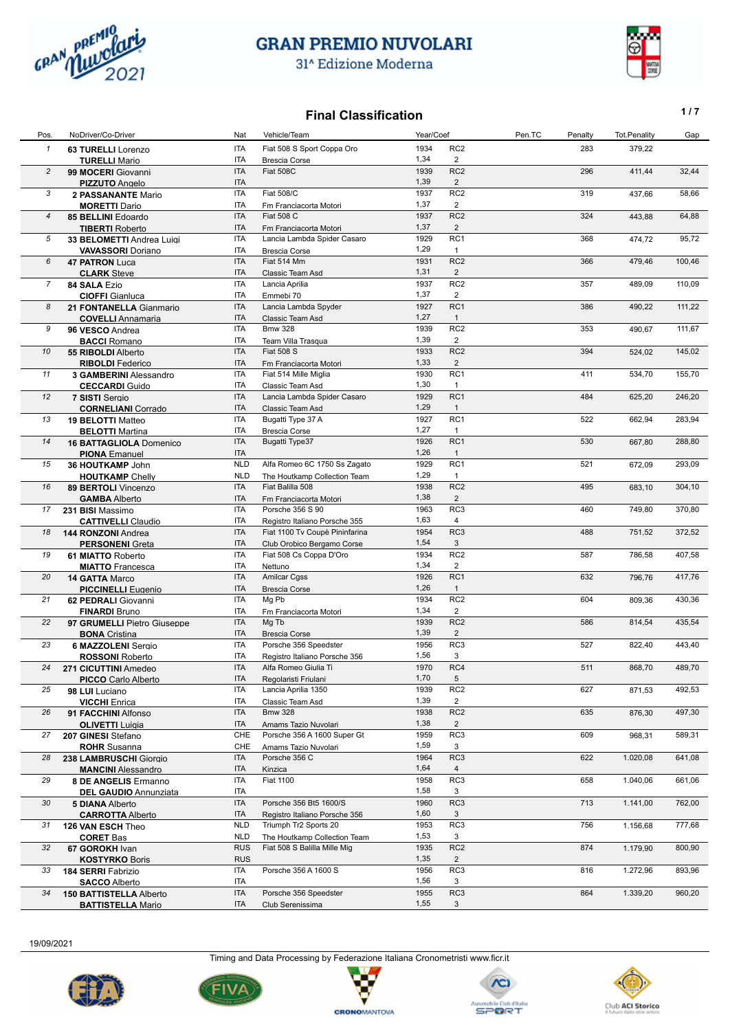

31<sup>^</sup> Edizione Moderna

#### **Final Classification 1/7**

|                |                                             |                   | ui viuvviivuu                  |              |                                   |        |         |              |        |
|----------------|---------------------------------------------|-------------------|--------------------------------|--------------|-----------------------------------|--------|---------|--------------|--------|
| Pos            | NoDriver/Co-Driver                          | Nat               | Vehicle/Team                   | Year/Coef    |                                   | Pen.TC | Penalty | Tot.Penality | Gap    |
| $\mathbf{1}$   | <b>63 TURELLI</b> Lorenzo                   | <b>ITA</b>        | Fiat 508 S Sport Coppa Oro     | 1934         | RC <sub>2</sub>                   |        | 283     | 379,22       |        |
|                | <b>TURELLI Mario</b>                        | ITA               | <b>Brescia Corse</b>           | 1,34         | $\overline{2}$                    |        |         |              |        |
| $\overline{c}$ | 99 MOCERI Giovanni                          | <b>ITA</b>        | Fiat 508C                      | 1939         | RC <sub>2</sub>                   |        | 296     | 411,44       | 32,44  |
|                | <b>PIZZUTO</b> Angelo                       | <b>ITA</b>        |                                | 1,39         | $\overline{2}$                    |        |         |              |        |
| 3              | 2 PASSANANTE Mario                          | <b>ITA</b>        | <b>Fiat 508/C</b>              | 1937         | RC <sub>2</sub>                   |        | 319     | 437,66       | 58,66  |
|                | <b>MORETTI Dario</b>                        | ITA               | Fm Franciacorta Motori         | 1,37         | $\overline{2}$                    |        |         |              |        |
| 4              | 85 BELLINI Edoardo                          | <b>ITA</b>        | <b>Fiat 508 C</b>              | 1937         | RC <sub>2</sub>                   |        | 324     | 443,88       | 64,88  |
|                | <b>TIBERTI Roberto</b>                      | <b>ITA</b>        | Fm Franciacorta Motori         | 1,37         | $\overline{2}$                    |        |         |              |        |
| 5              | 33 BELOMETTI Andrea Luigi                   | <b>ITA</b>        | Lancia Lambda Spider Casaro    | 1929         | RC1                               |        | 368     | 474,72       | 95,72  |
|                | <b>VAVASSORI Doriano</b>                    | ITA               | <b>Brescia Corse</b>           | 1,29         | $\mathbf{1}$                      |        |         |              |        |
| 6              | <b>47 PATRON Luca</b>                       | <b>ITA</b>        | Fiat 514 Mm                    | 1931         | RC <sub>2</sub>                   |        | 366     | 479,46       | 100,46 |
|                | <b>CLARK</b> Steve                          | <b>ITA</b>        | Classic Team Asd               | 1,31         | $\overline{2}$                    |        |         |              |        |
| $\overline{7}$ | 84 SALA Ezio                                | <b>ITA</b>        | Lancia Aprilia                 | 1937         | RC <sub>2</sub>                   |        | 357     | 489,09       | 110,09 |
|                | <b>CIOFFI</b> Gianluca                      | ITA               | Emmebi 70                      | 1,37         | 2                                 |        |         |              |        |
| 8              | 21 FONTANELLA Gianmario                     | <b>ITA</b>        | Lancia Lambda Spyder           | 1927         | RC <sub>1</sub>                   |        | 386     | 490,22       | 111,22 |
|                | <b>COVELLI</b> Annamaria                    | <b>ITA</b>        | Classic Team Asd               | 1,27         | $\overline{1}$                    |        |         |              |        |
| 9              | 96 VESCO Andrea                             | <b>ITA</b>        | <b>Bmw 328</b>                 | 1939         | RC <sub>2</sub>                   |        | 353     | 490,67       | 111,67 |
|                | <b>BACCI Romano</b>                         | <b>ITA</b>        | Team Villa Trasqua             | 1,39         | $\overline{2}$                    |        |         |              |        |
| 10             | 55 RIBOLDI Alberto                          | <b>ITA</b>        | <b>Fiat 508 S</b>              | 1933         | RC <sub>2</sub>                   |        | 394     | 524,02       | 145,02 |
|                | <b>RIBOLDI</b> Federico                     | <b>ITA</b>        | Fm Franciacorta Motori         | 1,33         | 2                                 |        |         |              |        |
| 11             | 3 GAMBERINI Alessandro                      | <b>ITA</b>        | Fiat 514 Mille Miglia          | 1930         | RC <sub>1</sub>                   |        | 411     | 534,70       | 155,70 |
|                | <b>CECCARDI</b> Guido                       | ITA               | Classic Team Asd               | 1,30         | $\mathbf{1}$                      |        |         |              |        |
| 12             | 7 SISTI Sergio                              | <b>ITA</b>        | Lancia Lambda Spider Casaro    | 1929         | RC <sub>1</sub>                   |        | 484     | 625,20       | 246,20 |
|                | <b>CORNELIANI</b> Corrado                   | <b>ITA</b>        | Classic Team Asd               | 1,29         | $\overline{1}$                    |        |         |              |        |
| 13             | <b>19 BELOTTI Matteo</b>                    | <b>ITA</b>        | Bugatti Type 37 A              | 1927         | RC <sub>1</sub>                   |        | 522     | 662,94       | 283,94 |
|                | <b>BELOTTI Martina</b>                      | <b>ITA</b>        | <b>Brescia Corse</b>           | 1,27         | $\overline{1}$                    |        |         |              |        |
| 14             | <b>16 BATTAGLIOLA Domenico</b>              | <b>ITA</b>        | Bugatti Type37                 | 1926         | RC <sub>1</sub>                   |        | 530     | 667,80       | 288,80 |
|                | <b>PIONA</b> Emanuel                        | <b>ITA</b>        |                                | 1,26         | $\overline{1}$                    |        |         |              |        |
| 15             | 36 HOUTKAMP John                            | <b>NLD</b>        | Alfa Romeo 6C 1750 Ss Zagato   | 1929         | RC <sub>1</sub>                   |        | 521     | 672,09       | 293,09 |
|                | <b>HOUTKAMP Chelly</b>                      | <b>NLD</b>        | The Houtkamp Collection Team   | 1,29         | $\overline{1}$                    |        |         |              |        |
| 16             | 89 BERTOLI Vincenzo                         | <b>ITA</b>        | Fiat Balilla 508               | 1938         | RC <sub>2</sub>                   |        | 495     | 683,10       | 304,10 |
|                | <b>GAMBA Alberto</b>                        | <b>ITA</b>        | Fm Franciacorta Motori         | 1,38         | $\overline{2}$                    |        |         |              |        |
| 17             | 231 BISI Massimo                            | <b>ITA</b>        | Porsche 356 S 90               | 1963         | RC <sub>3</sub>                   |        | 460     | 749,80       | 370,80 |
|                | <b>CATTIVELLI Claudio</b>                   | ITA               | Registro Italiano Porsche 355  | 1,63         | 4                                 |        |         |              |        |
| 18             | 144 RONZONI Andrea                          | <b>ITA</b>        | Fiat 1100 Tv Coupè Pininfarina | 1954         | RC3                               |        | 488     | 751,52       | 372,52 |
|                | <b>PERSONENI</b> Greta                      | <b>ITA</b>        | Club Orobico Bergamo Corse     | 1,54         | 3                                 |        |         |              |        |
| 19             | 61 MIATTO Roberto                           | <b>ITA</b>        | Fiat 508 Cs Coppa D'Oro        | 1934         | RC <sub>2</sub>                   |        | 587     | 786,58       | 407,58 |
|                | <b>MIATTO</b> Francesca                     | ITA<br><b>ITA</b> | Nettuno                        | 1,34<br>1926 | $\overline{2}$<br>RC <sub>1</sub> |        | 632     |              |        |
| 20             | 14 GATTA Marco                              | <b>ITA</b>        | <b>Amilcar Cgss</b>            | 1,26         | $\mathbf{1}$                      |        |         | 796,76       | 417,76 |
| 21             | <b>PICCINELLI</b> Eugenio                   | <b>ITA</b>        | <b>Brescia Corse</b><br>Mg Pb  | 1934         | RC <sub>2</sub>                   |        | 604     | 809,36       | 430,36 |
|                | 62 PEDRALI Giovanni<br><b>FINARDI Bruno</b> | ITA               | Fm Franciacorta Motori         | 1,34         | $\overline{2}$                    |        |         |              |        |
| 22             | 97 GRUMELLI Pietro Giuseppe                 | <b>ITA</b>        | Mg Tb                          | 1939         | RC <sub>2</sub>                   |        | 586     | 814,54       | 435,54 |
|                | <b>BONA</b> Cristina                        | <b>ITA</b>        | <b>Brescia Corse</b>           | 1,39         | $\overline{2}$                    |        |         |              |        |
| 23             | <b>6 MAZZOLENI</b> Sergio                   | <b>ITA</b>        | Porsche 356 Speedster          | 1956         | RC3                               |        | 527     | 822,40       | 443,40 |
|                | <b>ROSSONI Roberto</b>                      | ITA               | Registro Italiano Porsche 356  | 1,56         | 3                                 |        |         |              |        |
|                | 24 271 CICUTTINI Amedeo                     | <b>ITA</b>        | Alfa Romeo Giulia Ti           | 1970         | RC4                               |        | 511     | 868,70       | 489,70 |
|                | <b>PICCO</b> Carlo Alberto                  | <b>ITA</b>        | Regolaristi Friulani           | 1,70         | 5                                 |        |         |              |        |
| 25             | 98 LUI Luciano                              | ITA               | Lancia Aprilia 1350            | 1939         | RC <sub>2</sub>                   |        | 627     | 871,53       | 492,53 |
|                | <b>VICCHI</b> Enrica                        | <b>ITA</b>        | Classic Team Asd               | 1,39         | $\overline{2}$                    |        |         |              |        |
| 26             | 91 FACCHINI Alfonso                         | <b>ITA</b>        | <b>Bmw 328</b>                 | 1938         | RC <sub>2</sub>                   |        | 635     | 876,30       | 497,30 |
|                | <b>OLIVETTI</b> Luigia                      | <b>ITA</b>        | Amams Tazio Nuvolari           | 1,38         | $\overline{2}$                    |        |         |              |        |
| 27             | 207 GINESI Stefano                          | CHE               | Porsche 356 A 1600 Super Gt    | 1959         | RC3                               |        | 609     | 968,31       | 589,31 |
|                | <b>ROHR</b> Susanna                         | CHE               | Amams Tazio Nuvolari           | 1,59         | 3                                 |        |         |              |        |
| 28             | 238 LAMBRUSCHI Giorgio                      | ITA               | Porsche 356 C                  | 1964         | RC3                               |        | 622     | 1.020,08     | 641,08 |
|                | <b>MANCINI</b> Alessandro                   | <b>ITA</b>        | Kinzica                        | 1,64         | 4                                 |        |         |              |        |
| 29             | 8 DE ANGELIS Ermanno                        | ITA               | <b>Fiat 1100</b>               | 1958         | RC3                               |        | 658     | 1.040,06     | 661,06 |
|                | <b>DEL GAUDIO Annunziata</b>                | <b>ITA</b>        |                                | 1,58         | 3                                 |        |         |              |        |
| 30             | <b>5 DIANA Alberto</b>                      | ITA               | Porsche 356 Bt5 1600/S         | 1960         | RC3                               |        | 713     | 1.141,00     | 762,00 |
|                | <b>CARROTTA Alberto</b>                     | <b>ITA</b>        | Registro Italiano Porsche 356  | 1,60         | 3                                 |        |         |              |        |
| 31             | 126 VAN ESCH Theo                           | <b>NLD</b>        | Triumph Tr2 Sports 20          | 1953         | RC3                               |        | 756     | 1.156,68     | 777,68 |
|                | <b>CORET Bas</b>                            | <b>NLD</b>        | The Houtkamp Collection Team   | 1,53         | 3                                 |        |         |              |        |
| 32             | 67 GOROKH Ivan                              | <b>RUS</b>        | Fiat 508 S Balilla Mille Mig   | 1935         | RC <sub>2</sub>                   |        | 874     | 1.179,90     | 800,90 |
|                | <b>KOSTYRKO Boris</b>                       | <b>RUS</b>        |                                | 1,35         | $\overline{2}$                    |        |         |              |        |
| 33             | 184 SERRI Fabrizio                          | ITA               | Porsche 356 A 1600 S           | 1956         | RC <sub>3</sub>                   |        | 816     | 1.272,96     | 893,96 |
|                | <b>SACCO Alberto</b>                        | <b>ITA</b>        |                                | 1,56         | 3                                 |        |         |              |        |
| 34             | <b>150 BATTISTELLA Alberto</b>              | <b>ITA</b>        | Porsche 356 Speedster          | 1955         | RC3                               |        | 864     | 1.339,20     | 960,20 |
|                | <b>BATTISTELLA Mario</b>                    | ITA               | Club Serenissima               | 1,55         | 3                                 |        |         |              |        |

19/09/2021

Timing and Data Processing by Federazione Italiana Cronometristi www.ficr.it

Ç

**CRONOMANTOVA** 







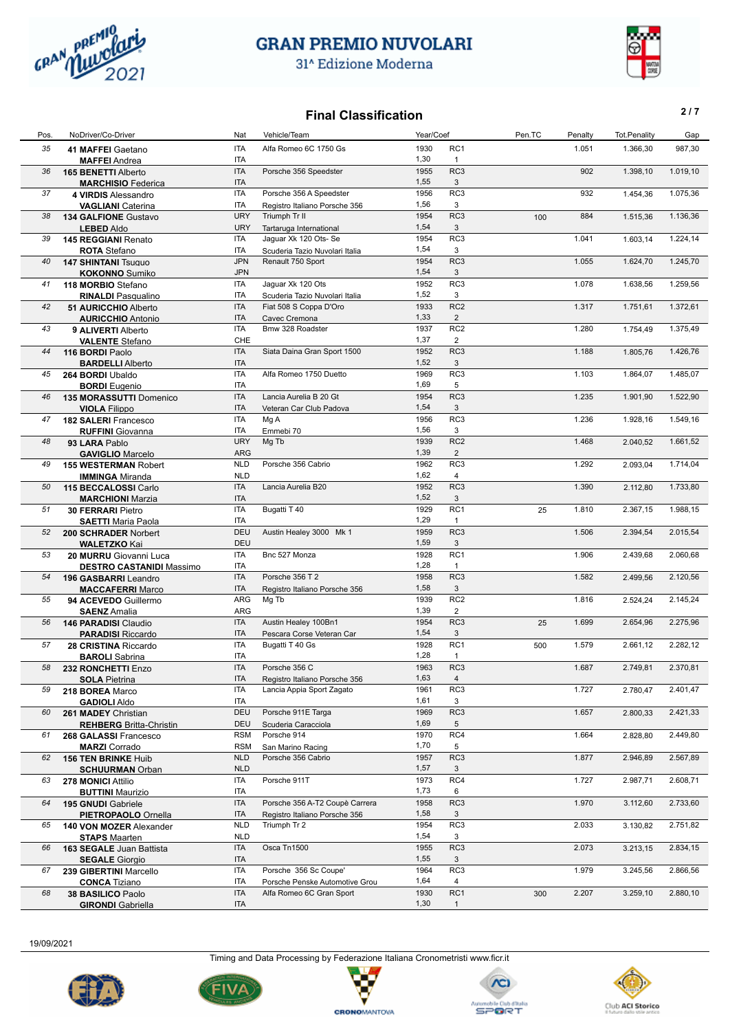

31<sup>^</sup> Edizione Moderna



#### **Final Classification 2/7**

| Pos. | NoDriver/Co-Driver                                    | Nat                      | Vehicle/Team                   | Year/Coef    |                 | Pen.TC | Penalty | <b>Tot.Penality</b> | Gap      |
|------|-------------------------------------------------------|--------------------------|--------------------------------|--------------|-----------------|--------|---------|---------------------|----------|
| 35   | 41 MAFFEI Gaetano                                     | <b>ITA</b>               | Alfa Romeo 6C 1750 Gs          | 1930         | RC1             |        | 1.051   | 1.366,30            | 987,30   |
|      | <b>MAFFEI</b> Andrea                                  | <b>ITA</b>               |                                | 1,30         | $\mathbf{1}$    |        |         |                     |          |
| 36   | 165 BENETTI Alberto                                   | <b>ITA</b>               | Porsche 356 Speedster          | 1955         | RC <sub>3</sub> |        | 902     | 1.398,10            | 1.019,10 |
|      | <b>MARCHISIO</b> Federica                             | <b>ITA</b>               |                                | 1,55         | 3               |        |         |                     |          |
| 37   | 4 VIRDIS Alessandro                                   | <b>ITA</b>               | Porsche 356 A Speedster        | 1956         | RC3             |        | 932     | 1.454,36            | 1.075,36 |
|      | <b>VAGLIANI</b> Caterina                              | ITA                      | Registro Italiano Porsche 356  | 1,56         | 3               |        |         |                     |          |
| 38   | 134 GALFIONE Gustavo                                  | <b>URY</b>               | Triumph Tr II                  | 1954         | RC3             | 100    | 884     | 1.515,36            | 1.136,36 |
|      | <b>LEBED Aldo</b>                                     | <b>URY</b>               | Tartaruga International        | 1,54         | 3               |        |         |                     |          |
| 39   | 145 REGGIANI Renato                                   | <b>ITA</b>               | Jaguar Xk 120 Ots- Se          | 1954         | RC3             |        | 1.041   | 1.603,14            | 1.224,14 |
|      | <b>ROTA</b> Stefano                                   | ITA                      | Scuderia Tazio Nuvolari Italia | 1,54         | 3               |        |         |                     |          |
| 40   | <b>147 SHINTANI Tsuguo</b>                            | <b>JPN</b>               | Renault 750 Sport              | 1954         | RC <sub>3</sub> |        | 1.055   | 1.624,70            | 1.245,70 |
|      | <b>KOKONNO</b> Sumiko                                 | <b>JPN</b>               |                                | 1,54         | 3               |        |         |                     |          |
| 41   | 118 MORBIO Stefano                                    | <b>ITA</b>               | Jaguar Xk 120 Ots              | 1952         | RC3             |        | 1.078   | 1.638,56            | 1.259,56 |
|      | <b>RINALDI Pasqualino</b>                             | ITA                      | Scuderia Tazio Nuvolari Italia | 1,52         | 3               |        |         |                     |          |
| 42   | <b>51 AURICCHIO Alberto</b>                           | <b>ITA</b>               | Fiat 508 S Coppa D'Oro         | 1933         | RC <sub>2</sub> |        | 1.317   | 1.751,61            | 1.372,61 |
|      | <b>AURICCHIO Antonio</b>                              | <b>ITA</b>               | Cavec Cremona                  | 1,33         | $\overline{2}$  |        |         |                     |          |
| 43   | 9 ALIVERTI Alberto                                    | <b>ITA</b>               | Bmw 328 Roadster               | 1937         | RC <sub>2</sub> |        | 1.280   | 1.754,49            | 1.375,49 |
|      | <b>VALENTE Stefano</b>                                | CHE                      |                                | 1,37         | $\overline{2}$  |        |         |                     |          |
| 44   | 116 BORDI Paolo                                       | <b>ITA</b>               | Siata Daina Gran Sport 1500    | 1952         | RC3             |        | 1.188   | 1.805,76            | 1.426,76 |
|      | <b>BARDELLI Alberto</b>                               | <b>ITA</b>               |                                | 1,52         | 3               |        |         |                     |          |
| 45   | 264 BORDI Ubaldo                                      | <b>ITA</b>               | Alfa Romeo 1750 Duetto         | 1969         | RC3             |        | 1.103   | 1.864,07            | 1.485,07 |
|      | <b>BORDI</b> Eugenio                                  | ITA                      |                                | 1,69         | 5               |        |         |                     |          |
| 46   | 135 MORASSUTTI Domenico                               | <b>ITA</b>               | Lancia Aurelia B 20 Gt         | 1954<br>1,54 | RC <sub>3</sub> |        | 1.235   | 1.901,90            | 1.522,90 |
|      | <b>VIOLA Filippo</b>                                  | <b>ITA</b><br><b>ITA</b> | Veteran Car Club Padova        | 1956         | 3<br>RC3        |        | 1.236   |                     |          |
| 47   | 182 SALERI Francesco                                  | ITA                      | Mg A                           | 1,56         | 3               |        |         | 1.928,16            | 1.549,16 |
| 48   | <b>RUFFINI</b> Giovanna                               | <b>URY</b>               | Emmebi 70<br>Mg Tb             | 1939         | RC <sub>2</sub> |        | 1.468   | 2.040,52            | 1.661,52 |
|      | 93 LARA Pablo                                         | ARG                      |                                | 1,39         | $\overline{2}$  |        |         |                     |          |
| 49   | <b>GAVIGLIO Marcelo</b>                               | <b>NLD</b>               | Porsche 356 Cabrio             | 1962         | RC3             |        | 1.292   | 2.093.04            | 1.714,04 |
|      | <b>155 WESTERMAN Robert</b><br><b>IMMINGA Miranda</b> | <b>NLD</b>               |                                | 1,62         | 4               |        |         |                     |          |
| 50   | 115 BECCALOSSI Carlo                                  | <b>ITA</b>               | Lancia Aurelia B20             | 1952         | RC <sub>3</sub> |        | 1.390   | 2.112,80            | 1.733,80 |
|      | <b>MARCHIONI Marzia</b>                               | <b>ITA</b>               |                                | 1,52         | 3               |        |         |                     |          |
| 51   | <b>30 FERRARI Pietro</b>                              | <b>ITA</b>               | Bugatti T 40                   | 1929         | RC <sub>1</sub> | 25     | 1.810   | 2.367,15            | 1.988,15 |
|      | <b>SAETTI Maria Paola</b>                             | <b>ITA</b>               |                                | 1,29         | $\mathbf{1}$    |        |         |                     |          |
| 52   | 200 SCHRADER Norbert                                  | DEU                      | Austin Healey 3000 Mk 1        | 1959         | RC <sub>3</sub> |        | 1.506   | 2.394,54            | 2.015,54 |
|      | <b>WALETZKO Kai</b>                                   | <b>DEU</b>               |                                | 1,59         | 3               |        |         |                     |          |
| 53   | 20 MURRU Giovanni Luca                                | <b>ITA</b>               | Bnc 527 Monza                  | 1928         | RC <sub>1</sub> |        | 1.906   | 2.439,68            | 2.060,68 |
|      | <b>DESTRO CASTANIDI Massimo</b>                       | ITA                      |                                | 1,28         | $\mathbf{1}$    |        |         |                     |          |
| 54   | 196 GASBARRI Leandro                                  | <b>ITA</b>               | Porsche 356 T 2                | 1958         | RC <sub>3</sub> |        | 1.582   | 2.499,56            | 2.120,56 |
|      | <b>MACCAFERRI Marco</b>                               | <b>ITA</b>               | Registro Italiano Porsche 356  | 1,58         | 3               |        |         |                     |          |
| 55   | 94 ACEVEDO Guillermo                                  | ARG                      | Mg Tb                          | 1939         | RC <sub>2</sub> |        | 1.816   | 2.524,24            | 2.145,24 |
|      | <b>SAENZ</b> Amalia                                   | ARG                      |                                | 1,39         | $\overline{2}$  |        |         |                     |          |
| 56   | 146 PARADISI Claudio                                  | <b>ITA</b>               | Austin Healey 100Bn1           | 1954         | RC3             | 25     | 1.699   | 2.654,96            | 2.275,96 |
|      | <b>PARADISI Riccardo</b>                              | <b>ITA</b>               | Pescara Corse Veteran Car      | 1,54         | 3               |        |         |                     |          |
| 57   | 28 CRISTINA Riccardo                                  | <b>ITA</b>               | Bugatti T 40 Gs                | 1928         | RC1             | 500    | 1.579   | 2.661,12            | 2.282,12 |
|      | <b>BAROLI</b> Sabrina                                 | <b>ITA</b>               |                                | 1,28         | $\mathbf{1}$    |        |         |                     |          |
| 58   | 232 RONCHETTI Enzo                                    | <b>ITA</b>               | Porsche 356 C                  | 1963         | RC <sub>3</sub> |        | 1.687   | 2.749,81            | 2.370,81 |
|      | <b>SOLA Pietrina</b>                                  | ITA                      | Registro Italiano Porsche 356  | 1,63         | $\overline{4}$  |        |         |                     |          |
| 59   | 218 BOREA Marco                                       | ITA                      | Lancia Appia Sport Zagato      | 1961         | RC <sub>3</sub> |        | 1.727   | 2.780,47            | 2.401,47 |
|      | <b>GADIOLI Aldo</b>                                   | ITA                      |                                | 1,61         | 3               |        |         |                     |          |
| 60   | 261 MADEY Christian                                   | <b>DEU</b>               | Porsche 911E Targa             | 1969         | RC <sub>3</sub> |        | 1.657   | 2.800,33            | 2.421,33 |
|      | <b>REHBERG</b> Britta-Christin                        | <b>DEU</b>               | Scuderia Caracciola            | 1,69         | 5               |        |         |                     |          |
| 61   | 268 GALASSI Francesco                                 | <b>RSM</b>               | Porsche 914                    | 1970         | RC4             |        | 1.664   | 2.828,80            | 2.449,80 |
|      | <b>MARZI</b> Corrado                                  | <b>RSM</b>               | San Marino Racing              | 1,70         | 5               |        |         |                     |          |
| 62   | <b>156 TEN BRINKE Huib</b>                            | <b>NLD</b>               | Porsche 356 Cabrio             | 1957         | RC3             |        | 1.877   | 2.946,89            | 2.567,89 |
|      | <b>SCHUURMAN Orban</b>                                | <b>NLD</b>               |                                | 1,57         | 3               |        |         |                     |          |
| 63   | <b>278 MONICI Attilio</b>                             | ITA                      | Porsche 911T                   | 1973         | RC4             |        | 1.727   | 2.987,71            | 2.608,71 |
|      | <b>BUTTINI</b> Maurizio                               | ITA                      |                                | 1,73         | 6               |        |         |                     |          |
| 64   | 195 GNUDI Gabriele                                    | ITA                      | Porsche 356 A-T2 Coupè Carrera | 1958         | RC3             |        | 1.970   | 3.112,60            | 2.733,60 |
|      | <b>PIETROPAOLO Ornella</b>                            | ITA                      | Registro Italiano Porsche 356  | 1,58         | 3               |        |         |                     |          |
| 65   | 140 VON MOZER Alexander                               | <b>NLD</b>               | Triumph Tr 2                   | 1954         | RC3             |        | 2.033   | 3.130,82            | 2.751,82 |
|      | <b>STAPS Maarten</b>                                  | <b>NLD</b>               |                                | 1,54         | 3               |        |         |                     |          |
| 66   | 163 SEGALE Juan Battista                              | ITA                      | Osca Tn1500                    | 1955         | RC <sub>3</sub> |        | 2.073   | 3.213,15            | 2.834,15 |
|      | <b>SEGALE</b> Giorgio                                 | ITA                      | Porsche 356 Sc Coupe'          | 1,55         | 3<br>RC3        |        |         |                     |          |
| 67   | 239 GIBERTINI Marcello                                | ITA<br><b>ITA</b>        | Porsche Penske Automotive Grou | 1964<br>1,64 | 4               |        | 1.979   | 3.245,56            | 2.866,56 |
|      | <b>CONCA Tiziano</b>                                  | <b>ITA</b>               | Alfa Romeo 6C Gran Sport       | 1930         | RC1             |        | 2.207   |                     | 2.880,10 |
| 68   | 38 BASILICO Paolo                                     | ITA                      |                                | 1,30         | $\mathbf{1}$    | 300    |         | 3.259,10            |          |
|      | <b>GIRONDI</b> Gabriella                              |                          |                                |              |                 |        |         |                     |          |

19/09/2021

Timing and Data Processing by Federazione Italiana Cronometristi www.ficr.it

Ç

**CRONOMANTOVA** 







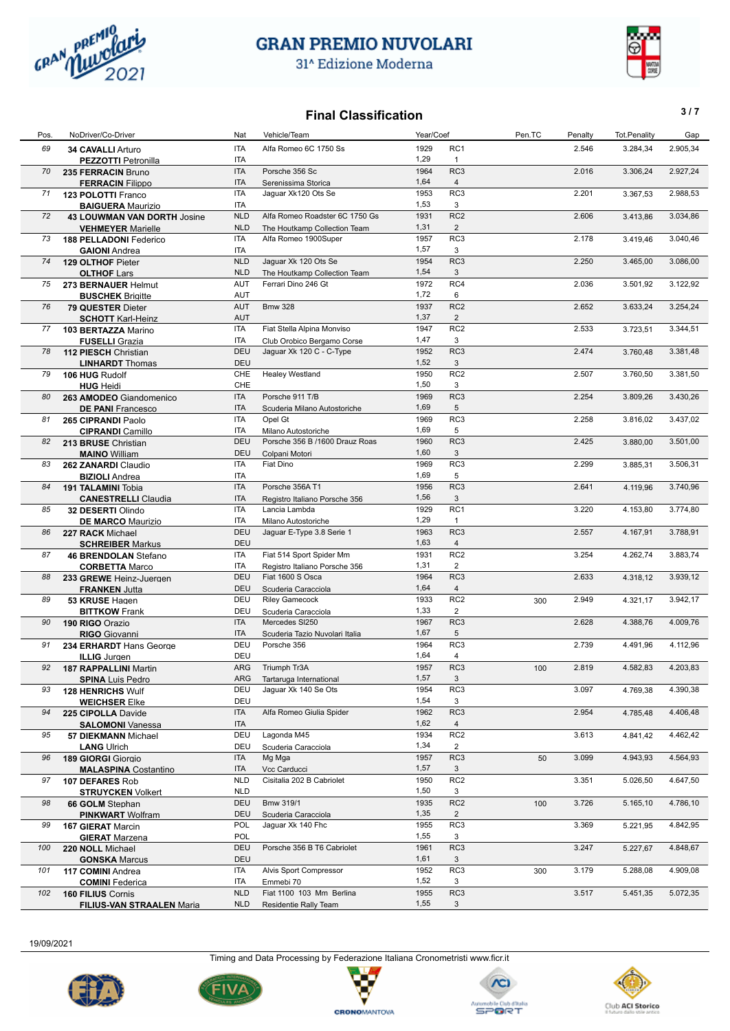

 $\overline{\phantom{a}}$ 

## **GRAN PREMIO NUVOLARI**

31^ Edizione Moderna



## **Final Classification 3/7**

Pos. NoDriver/Co-Driver North Nat Vehicle/Team Nat Year/Coef Year/Coef Pen.TC Penalty Tot.Penality Gap

| 69  | 34 CAVALLI Arturo                  | ITA        | Alfa Romeo 6C 1750 Ss          | 1929         | RC <sub>1</sub>      |     | 2.546 | 3.284,34 | 2.905,34 |
|-----|------------------------------------|------------|--------------------------------|--------------|----------------------|-----|-------|----------|----------|
|     | <b>PEZZOTTI Petronilla</b>         | <b>ITA</b> |                                | 1,29         | $\mathbf{1}$         |     |       |          |          |
| 70  | 235 FERRACIN Bruno                 | <b>ITA</b> | Porsche 356 Sc                 | 1964         | RC3                  |     | 2.016 | 3.306,24 | 2.927,24 |
|     | <b>FERRACIN Filippo</b>            | <b>ITA</b> | Serenissima Storica            | 1,64         | $\overline{4}$       |     |       |          |          |
| 71  | 123 POLOTTI Franco                 | <b>ITA</b> | Jaguar Xk120 Ots Se            | 1953         | RC3                  |     | 2.201 | 3.367,53 | 2.988,53 |
|     | <b>BAIGUERA Maurizio</b>           | <b>ITA</b> |                                | 1,53         | 3                    |     |       |          |          |
| 72  | <b>43 LOUWMAN VAN DORTH Josine</b> | <b>NLD</b> | Alfa Romeo Roadster 6C 1750 Gs | 1931         | RC <sub>2</sub>      |     | 2.606 | 3.413,86 | 3.034,86 |
|     | <b>VEHMEYER Marielle</b>           | <b>NLD</b> | The Houtkamp Collection Team   | 1,31         | $\overline{2}$       |     |       |          |          |
| 73  | 188 PELLADONI Federico             | <b>ITA</b> | Alfa Romeo 1900Super           | 1957         | RC3                  |     | 2.178 | 3.419,46 | 3.040,46 |
|     | <b>GAIONI</b> Andrea               | ITA        |                                | 1,57         | 3                    |     |       |          |          |
| 74  | 129 OLTHOF Pieter                  | <b>NLD</b> | Jaguar Xk 120 Ots Se           | 1954         | RC <sub>3</sub>      |     | 2.250 | 3.465,00 | 3.086,00 |
|     | <b>OLTHOF Lars</b>                 | <b>NLD</b> | The Houtkamp Collection Team   | 1,54         | 3                    |     |       |          |          |
| 75  | 273 BERNAUER Helmut                | <b>AUT</b> | Ferrari Dino 246 Gt            | 1972         | RC4                  |     | 2.036 | 3.501,92 | 3.122,92 |
|     | <b>BUSCHEK Brigitte</b>            | <b>AUT</b> |                                | 1,72         | 6                    |     |       |          |          |
| 76  | 79 QUESTER Dieter                  | <b>AUT</b> | <b>Bmw 328</b>                 | 1937         | RC <sub>2</sub>      |     | 2.652 | 3.633,24 | 3.254,24 |
|     | <b>SCHOTT Karl-Heinz</b>           | <b>AUT</b> |                                | 1,37         | $\overline{2}$       |     |       |          |          |
| 77  | 103 BERTAZZA Marino                | <b>ITA</b> | Fiat Stella Alpina Monviso     | 1947         | RC <sub>2</sub>      |     | 2.533 | 3.723,51 | 3.344,51 |
|     | <b>FUSELLI</b> Grazia              | ITA        | Club Orobico Bergamo Corse     | 1,47         | 3                    |     |       |          |          |
| 78  | 112 PIESCH Christian               | DEU        | Jaguar Xk 120 C - C-Type       | 1952         | RC3                  |     | 2.474 | 3.760,48 | 3.381,48 |
|     | <b>LINHARDT</b> Thomas             | DEU        |                                | 1,52         | 3                    |     |       |          |          |
| 79  | 106 HUG Rudolf                     | CHE        | <b>Healey Westland</b>         | 1950         | RC <sub>2</sub>      |     | 2.507 | 3.760,50 | 3.381,50 |
|     | <b>HUG</b> Heidi                   | CHE        |                                | 1,50         | 3                    |     |       |          |          |
| 80  |                                    | <b>ITA</b> | Porsche 911 T/B                | 1969         | RC <sub>3</sub>      |     | 2.254 | 3.809,26 | 3.430,26 |
|     | 263 AMODEO Giandomenico            | <b>ITA</b> |                                | 1,69         | 5                    |     |       |          |          |
|     | <b>DE PANI</b> Francesco           | <b>ITA</b> | Scuderia Milano Autostoriche   |              | RC3                  |     |       |          |          |
| 81  | 265 CIPRANDI Paolo                 |            | Opel Gt                        | 1969<br>1,69 |                      |     | 2.258 | 3.816,02 | 3.437,02 |
|     | <b>CIPRANDI</b> Camillo            | <b>ITA</b> | Milano Autostoriche            |              | 5                    |     |       |          |          |
| 82  | 213 BRUSE Christian                | <b>DEU</b> | Porsche 356 B /1600 Drauz Roas | 1960         | RC3                  |     | 2.425 | 3.880,00 | 3.501,00 |
|     | <b>MAINO</b> William               | DEU        | Colpani Motori                 | 1,60         | 3                    |     |       |          |          |
| 83  | 262 ZANARDI Claudio                | ITA        | Fiat Dino                      | 1969         | RC3                  |     | 2.299 | 3.885,31 | 3.506,31 |
|     | <b>BIZIOLI</b> Andrea              | <b>ITA</b> |                                | 1,69         | 5                    |     |       |          |          |
| 84  | 191 TALAMINI Tobia                 | <b>ITA</b> | Porsche 356A T1                | 1956         | RC <sub>3</sub>      |     | 2.641 | 4.119,96 | 3.740,96 |
|     | <b>CANESTRELLI Claudia</b>         | <b>ITA</b> | Registro Italiano Porsche 356  | 1,56         | 3                    |     |       |          |          |
| 85  | 32 DESERTI Olindo                  | <b>ITA</b> | Lancia Lambda                  | 1929         | RC1                  |     | 3.220 | 4.153,80 | 3.774,80 |
|     | <b>DE MARCO Maurizio</b>           | ITA        | Milano Autostoriche            | 1,29         | $\mathbf{1}$         |     |       |          |          |
| 86  | 227 RACK Michael                   | <b>DEU</b> | Jaguar E-Type 3.8 Serie 1      | 1963         | RC <sub>3</sub>      |     | 2.557 | 4.167,91 | 3.788,91 |
|     | <b>SCHREIBER Markus</b>            | DEU        |                                | 1,63         | $\overline{4}$       |     |       |          |          |
| 87  | <b>46 BRENDOLAN Stefano</b>        | <b>ITA</b> | Fiat 514 Sport Spider Mm       | 1931         | RC <sub>2</sub>      |     | 3.254 | 4.262,74 | 3.883,74 |
|     | <b>CORBETTA Marco</b>              | ITA        | Registro Italiano Porsche 356  | 1,31         | $\overline{2}$       |     |       |          |          |
| 88  | 233 GREWE Heinz-Juergen            | DEU        | Fiat 1600 S Osca               | 1964         | RC <sub>3</sub>      |     | 2.633 | 4.318,12 | 3.939,12 |
|     | <b>FRANKEN Jutta</b>               | <b>DEU</b> | Scuderia Caracciola            | 1,64         | $\overline{4}$       |     |       |          |          |
| 89  | 53 KRUSE Hagen                     | DEU        | <b>Riley Gamecock</b>          | 1933         | RC <sub>2</sub>      | 300 | 2.949 | 4.321,17 | 3.942,17 |
|     | <b>BITTKOW</b> Frank               | DEU        | Scuderia Caracciola            | 1,33         | $\overline{2}$       |     |       |          |          |
| 90  | 190 RIGO Orazio                    | <b>ITA</b> | Mercedes SI250                 | 1967         | RC3                  |     | 2.628 | 4.388,76 | 4.009,76 |
|     | <b>RIGO</b> Giovanni               | <b>ITA</b> | Scuderia Tazio Nuvolari Italia | 1,67         | 5                    |     |       |          |          |
| 91  | 234 ERHARDT Hans George            | DEU        | Porsche 356                    | 1964         | RC3                  |     | 2.739 | 4.491,96 | 4.112,96 |
|     | <b>ILLIG</b> Jurgen                | DEU        |                                | 1,64         | 4                    |     |       |          |          |
| 92  | <b>187 RAPPALLINI Martin</b>       | <b>ARG</b> | Triumph Tr3A                   | 1957         | RC <sub>3</sub>      | 100 | 2.819 | 4.582,83 | 4.203,83 |
|     | <b>SPINA Luis Pedro</b>            | ARG        | Tartaruga International        | 1,57         | 3                    |     |       |          |          |
| 93  | <b>128 HENRICHS Wulf</b>           | DEU        | Jaguar Xk 140 Se Ots           | 1954         | RC3                  |     | 3.097 | 4.769,38 | 4.390,38 |
|     |                                    | DEU        |                                | 1,54         | 3                    |     |       |          |          |
| 94  | <b>WEICHSER Elke</b>               | ITA        | Alfa Romeo Giulia Spider       | 1962         | RC3                  |     | 2.954 | 4.785,48 | 4.406,48 |
|     | 225 CIPOLLA Davide                 |            |                                | 1,62         |                      |     |       |          |          |
|     | <b>SALOMONI Vanessa</b>            | ITA<br>DEU | Lagonda M45                    | 1934         | 4<br>RC <sub>2</sub> |     |       |          |          |
| 95  | <b>57 DIEKMANN Michael</b>         | DEU        |                                | 1,34         | $\overline{2}$       |     | 3.613 | 4.841,42 | 4.462,42 |
|     | <b>LANG Ulrich</b>                 |            | Scuderia Caracciola            |              |                      |     |       |          |          |
| 96  | 189 GIORGI Giorgio                 | ITA        | Mg Mga                         | 1957         | RC <sub>3</sub>      | 50  | 3.099 | 4.943,93 | 4.564,93 |
|     | <b>MALASPINA Costantino</b>        | ITA        | Vcc Carducci                   | 1,57         | 3                    |     |       |          |          |
| 97  | 107 DEFARES Rob                    | <b>NLD</b> | Cisitalia 202 B Cabriolet      | 1950         | RC <sub>2</sub>      |     | 3.351 | 5.026,50 | 4.647,50 |
|     | <b>STRUYCKEN Volkert</b>           | <b>NLD</b> |                                | 1,50         | 3                    |     |       |          |          |
| 98  | 66 GOLM Stephan                    | <b>DEU</b> | Bmw 319/1                      | 1935         | RC <sub>2</sub>      | 100 | 3.726 | 5.165,10 | 4.786,10 |
|     | <b>PINKWART</b> Wolfram            | DEU        | Scuderia Caracciola            | 1,35         | $\overline{2}$       |     |       |          |          |
| 99  | 167 GIERAT Marcin                  | POL        | Jaguar Xk 140 Fhc              | 1955         | RC3                  |     | 3.369 | 5.221,95 | 4.842,95 |
|     | <b>GIERAT</b> Marzena              | POL        |                                | 1,55         | 3                    |     |       |          |          |
| 100 | 220 NOLL Michael                   | <b>DEU</b> | Porsche 356 B T6 Cabriolet     | 1961         | RC <sub>3</sub>      |     | 3.247 | 5.227,67 | 4.848,67 |
|     | <b>GONSKA Marcus</b>               | DEU        |                                | 1,61         | 3                    |     |       |          |          |
| 101 | 117 COMINI Andrea                  | <b>ITA</b> | Alvis Sport Compressor         | 1952         | RC3                  | 300 | 3.179 | 5.288,08 | 4.909,08 |
|     | <b>COMINI</b> Federica             | ITA        | Emmebi 70                      | 1,52         | 3                    |     |       |          |          |
| 102 | 160 FILIUS Cornis                  | <b>NLD</b> | Fiat 1100 103 Mm Berlina       | 1955         | RC3                  |     | 3.517 | 5.451,35 | 5.072,35 |
|     | <b>FILIUS-VAN STRAALEN Maria</b>   | <b>NLD</b> | Residentie Rally Team          | 1,55         | 3                    |     |       |          |          |

19/09/2021







Ę v

**CRONOMANTOVA** 



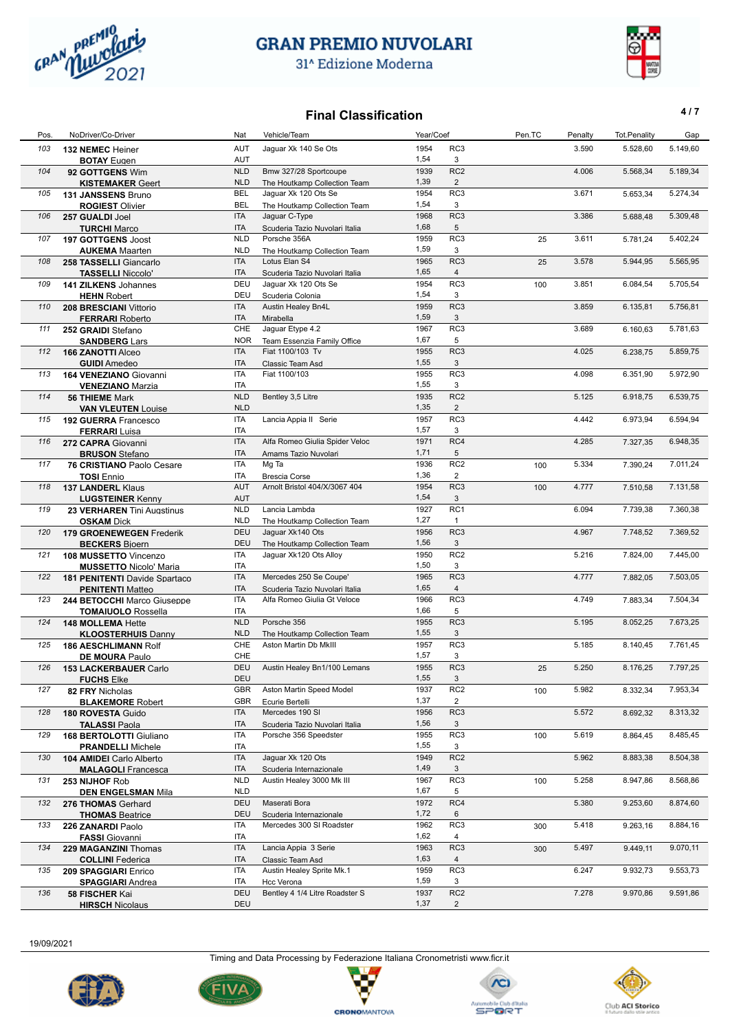

**BOTAY** Eugen

## **GRAN PREMIO NUVOLARI**

31<sup>^</sup> Edizione Moderna



3.590

#### **Final Classification 4/7** Pos. NoDriver/Co-Driver Nat Vehicle/Team Nat Vehicle/Team Year/Coef Pen.TC Penalty Tot.Penality Gap

AUT 5.149,60

RC3

1,54

103 **132 NEMEC** Heiner **103 132 NEMEC** Heiner **Jaguar Xk 140 Se Ots** 5.528,60 **1954** RC3 **13.590 5.528,60 BOTAY** Eugen **1.54 1.54 1.54 3** 

 $AUT$  3

| 104 | 92 GOTTGENS Wim                                      | <b>NLD</b> | Bmw 327/28 Sportcoupe          | 1939 | RC <sub>2</sub>         |     | 4.006 | 5.568,34 | 5.189,34 |
|-----|------------------------------------------------------|------------|--------------------------------|------|-------------------------|-----|-------|----------|----------|
|     | <b>KISTEMAKER Geert</b>                              | <b>NLD</b> | The Houtkamp Collection Team   | 1,39 | $\overline{2}$          |     |       |          |          |
| 105 | 131 JANSSENS Bruno                                   | <b>BEL</b> | Jaguar Xk 120 Ots Se           | 1954 | RC3                     |     | 3.671 | 5.653,34 | 5.274,34 |
|     | <b>ROGIEST Olivier</b>                               | <b>BEL</b> | The Houtkamp Collection Team   | 1,54 | 3                       |     |       |          |          |
| 106 | 257 GUALDI Joel                                      | <b>ITA</b> | Jaguar C-Type                  | 1968 | RC3                     |     | 3.386 | 5.688,48 | 5.309,48 |
|     | <b>TURCHI</b> Marco                                  | <b>ITA</b> | Scuderia Tazio Nuvolari Italia | 1,68 | 5                       |     |       |          |          |
| 107 | 197 GOTTGENS Joost                                   | <b>NLD</b> | Porsche 356A                   | 1959 | RC3                     | 25  | 3.611 | 5.781,24 | 5.402,24 |
|     | <b>AUKEMA</b> Maarten                                | <b>NLD</b> | The Houtkamp Collection Team   | 1,59 | 3                       |     |       |          |          |
| 108 | 258 TASSELLI Giancarlo                               | <b>ITA</b> | Lotus Elan S4                  | 1965 | RC <sub>3</sub>         | 25  | 3.578 | 5.944,95 | 5.565,95 |
|     | <b>TASSELLI Niccolo'</b>                             | <b>ITA</b> | Scuderia Tazio Nuvolari Italia | 1,65 | $\overline{4}$          |     |       |          |          |
| 109 | 141 ZILKENS Johannes                                 | DEU        | Jaguar Xk 120 Ots Se           | 1954 | RC3                     | 100 | 3.851 | 6.084,54 | 5.705,54 |
|     | <b>HEHN Robert</b>                                   | DEU        | Scuderia Colonia               | 1,54 | 3                       |     |       |          |          |
| 110 | 208 BRESCIANI Vittorio                               | ITA        | <b>Austin Healey Bn4L</b>      | 1959 | RC3                     |     | 3.859 | 6.135,81 | 5.756,81 |
|     | <b>FERRARI Roberto</b>                               | <b>ITA</b> | Mirabella                      | 1,59 | 3                       |     |       |          |          |
| 111 | 252 GRAIDI Stefano                                   | CHE        | Jaguar Etype 4.2               | 1967 | RC <sub>3</sub>         |     | 3.689 | 6.160,63 | 5.781,63 |
|     | <b>SANDBERG Lars</b>                                 | <b>NOR</b> | Team Essenzia Family Office    | 1,67 | 5                       |     |       |          |          |
| 112 | 166 ZANOTTI Alceo                                    | <b>ITA</b> | Fiat 1100/103 Tv               | 1955 | RC <sub>3</sub>         |     | 4.025 | 6.238,75 | 5.859,75 |
|     | <b>GUIDI</b> Amedeo                                  | <b>ITA</b> | Classic Team Asd               | 1,55 | 3                       |     |       |          |          |
| 113 |                                                      | ITA        | Fiat 1100/103                  | 1955 | RC3                     |     | 4.098 | 6.351,90 | 5.972,90 |
|     | 164 VENEZIANO Giovanni                               | ITA        |                                | 1,55 | 3                       |     |       |          |          |
|     | <b>VENEZIANO Marzia</b>                              |            |                                | 1935 | RC <sub>2</sub>         |     |       |          |          |
| 114 | <b>56 THIEME</b> Mark                                | <b>NLD</b> | Bentley 3,5 Litre              |      |                         |     | 5.125 | 6.918,75 | 6.539,75 |
|     | <b>VAN VLEUTEN Louise</b>                            | <b>NLD</b> |                                | 1,35 | $\overline{2}$          |     |       |          |          |
| 115 | 192 GUERRA Francesco                                 | ITA        | Lancia Appia II Serie          | 1957 | RC3                     |     | 4.442 | 6.973,94 | 6.594,94 |
|     | <b>FERRARI</b> Luisa                                 | ITA        |                                | 1,57 | 3                       |     |       |          |          |
| 116 | 272 CAPRA Giovanni                                   | <b>ITA</b> | Alfa Romeo Giulia Spider Veloc | 1971 | RC4                     |     | 4.285 | 7.327,35 | 6.948,35 |
|     | <b>BRUSON</b> Stefano                                | <b>ITA</b> | Amams Tazio Nuvolari           | 1,71 | 5                       |     |       |          |          |
| 117 | 76 CRISTIANO Paolo Cesare                            | ITA        | Mg Ta                          | 1936 | RC <sub>2</sub>         | 100 | 5.334 | 7.390,24 | 7.011,24 |
|     | <b>TOSI</b> Ennio                                    | ITA        | <b>Brescia Corse</b>           | 1,36 | $\overline{2}$          |     |       |          |          |
| 118 | 137 LANDERL Klaus                                    | <b>AUT</b> | Arnolt Bristol 404/X/3067 404  | 1954 | RC3                     | 100 | 4.777 | 7.510,58 | 7.131,58 |
|     | <b>LUGSTEINER Kenny</b>                              | <b>AUT</b> |                                | 1,54 | 3                       |     |       |          |          |
| 119 | 23 VERHAREN Tini Augstinus                           | <b>NLD</b> | Lancia Lambda                  | 1927 | RC1                     |     | 6.094 | 7.739,38 | 7.360,38 |
|     | <b>OSKAM Dick</b>                                    | <b>NLD</b> | The Houtkamp Collection Team   | 1,27 | $\mathbf{1}$            |     |       |          |          |
| 120 | 179 GROENEWEGEN Frederik                             | <b>DEU</b> | Jaguar Xk140 Ots               | 1956 | RC3                     |     | 4.967 | 7.748,52 | 7.369,52 |
|     | <b>BECKERS</b> Bioern                                | DEU        | The Houtkamp Collection Team   | 1,56 | 3                       |     |       |          |          |
| 121 | 108 MUSSETTO Vincenzo                                | ITA        | Jaguar Xk120 Ots Alloy         | 1950 | RC <sub>2</sub>         |     | 5.216 | 7.824,00 | 7.445,00 |
|     | <b>MUSSETTO Nicolo' Maria</b>                        | ITA        |                                | 1,50 | 3                       |     |       |          |          |
| 122 | <b>181 PENITENTI Davide Spartaco</b>                 | <b>ITA</b> | Mercedes 250 Se Coupe'         | 1965 | RC <sub>3</sub>         |     | 4.777 | 7.882,05 | 7.503,05 |
|     | <b>PENITENTI Matteo</b>                              | ITA        | Scuderia Tazio Nuvolari Italia | 1,65 | $\overline{4}$          |     |       |          |          |
| 123 | 244 BETOCCHI Marco Giuseppe                          | <b>ITA</b> | Alfa Romeo Giulia Gt Veloce    | 1966 | RC3                     |     | 4.749 | 7.883,34 | 7.504,34 |
|     | <b>TOMAIUOLO</b> Rossella                            | ITA        |                                | 1,66 | 5                       |     |       |          |          |
| 124 | 148 MOLLEMA Hette                                    | <b>NLD</b> | Porsche 356                    | 1955 | RC3                     |     | 5.195 | 8.052,25 | 7.673,25 |
|     | <b>KLOOSTERHUIS Danny</b>                            | <b>NLD</b> | The Houtkamp Collection Team   | 1,55 | 3                       |     |       |          |          |
| 125 |                                                      | CHE        | Aston Martin Db MkIII          | 1957 | RC3                     |     | 5.185 | 8.140.45 | 7.761,45 |
|     | <b>186 AESCHLIMANN Rolf</b><br><b>DE MOURA Paulo</b> | CHE        |                                | 1,57 | 3                       |     |       |          |          |
|     |                                                      | <b>DEU</b> |                                | 1955 | RC3                     |     | 5.250 |          | 7.797,25 |
| 126 | <b>153 LACKERBAUER Carlo</b>                         |            | Austin Healey Bn1/100 Lemans   | 1,55 |                         | 25  |       | 8.176,25 |          |
|     | <b>FUCHS Elke</b>                                    | DEU        |                                |      | 3                       |     |       |          |          |
| 127 | 82 FRY Nicholas                                      | GBR        | Aston Martin Speed Model       | 1937 | RC <sub>2</sub>         | 100 | 5.982 | 8.332,34 | 7.953,34 |
|     | <b>BLAKEMORE Robert</b>                              | GBR        | Ecurie Bertelli                | 1,37 | $\overline{\mathbf{c}}$ |     |       |          |          |
| 128 | 180 ROVESTA Guido                                    | <b>ITA</b> | Mercedes 190 SI                | 1956 | RC3                     |     | 5.572 | 8.692,32 | 8.313,32 |
|     | <b>TALASSI Paola</b>                                 | ITA        | Scuderia Tazio Nuvolari Italia | 1,56 | 3                       |     |       |          |          |
| 129 | 168 BERTOLOTTI Giuliano                              | ITA        | Porsche 356 Speedster          | 1955 | RC3                     | 100 | 5.619 | 8.864,45 | 8.485,45 |
|     | <b>PRANDELLI</b> Michele                             | ITA        |                                | 1,55 | 3                       |     |       |          |          |
| 130 | 104 AMIDEI Carlo Alberto                             | ITA        | Jaguar Xk 120 Ots              | 1949 | RC <sub>2</sub>         |     | 5.962 | 8.883,38 | 8.504,38 |
|     | <b>MALAGOLI</b> Francesca                            | ITA        | Scuderia Internazionale        | 1,49 | 3                       |     |       |          |          |
| 131 | 253 NIJHOF Rob                                       | <b>NLD</b> | Austin Healey 3000 Mk III      | 1967 | RC3                     | 100 | 5.258 | 8.947,86 | 8.568,86 |
|     | <b>DEN ENGELSMAN Mila</b>                            | <b>NLD</b> |                                | 1,67 | 5                       |     |       |          |          |
| 132 | 276 THOMAS Gerhard                                   | <b>DEU</b> | Maserati Bora                  | 1972 | RC4                     |     | 5.380 | 9.253,60 | 8.874,60 |
|     | <b>THOMAS Beatrice</b>                               | DEU        | Scuderia Internazionale        | 1,72 | 6                       |     |       |          |          |
| 133 | 226 ZANARDI Paolo                                    | ITA        | Mercedes 300 SI Roadster       | 1962 | RC3                     | 300 | 5.418 | 9.263,16 | 8.884,16 |
|     | <b>FASSI</b> Giovanni                                | ITA        |                                | 1,62 | 4                       |     |       |          |          |
| 134 | 229 MAGANZINI Thomas                                 | ITA        | Lancia Appia 3 Serie           | 1963 | RC3                     | 300 | 5.497 | 9.449,11 | 9.070,11 |
|     | <b>COLLINI</b> Federica                              | ITA        | Classic Team Asd               | 1,63 | $\overline{4}$          |     |       |          |          |
| 135 | 209 SPAGGIARI Enrico                                 | ITA        | Austin Healey Sprite Mk.1      | 1959 | RC3                     |     | 6.247 | 9.932,73 | 9.553,73 |
|     | <b>SPAGGIARI</b> Andrea                              | ITA        | Hcc Verona                     | 1,59 | 3                       |     |       |          |          |
| 136 |                                                      | <b>DEU</b> | Bentley 4 1/4 Litre Roadster S | 1937 | RC <sub>2</sub>         |     | 7.278 | 9.970,86 | 9.591,86 |
|     | 58 FISCHER Kai                                       |            |                                |      |                         |     |       |          |          |

19/09/2021

Timing and Data Processing by Federazione Italiana Cronometristi www.ficr.it

۲

**CRONOMANTOVA** 

DEU 2



**HIRSCH** Nicolaus





1937 RC2 1,37

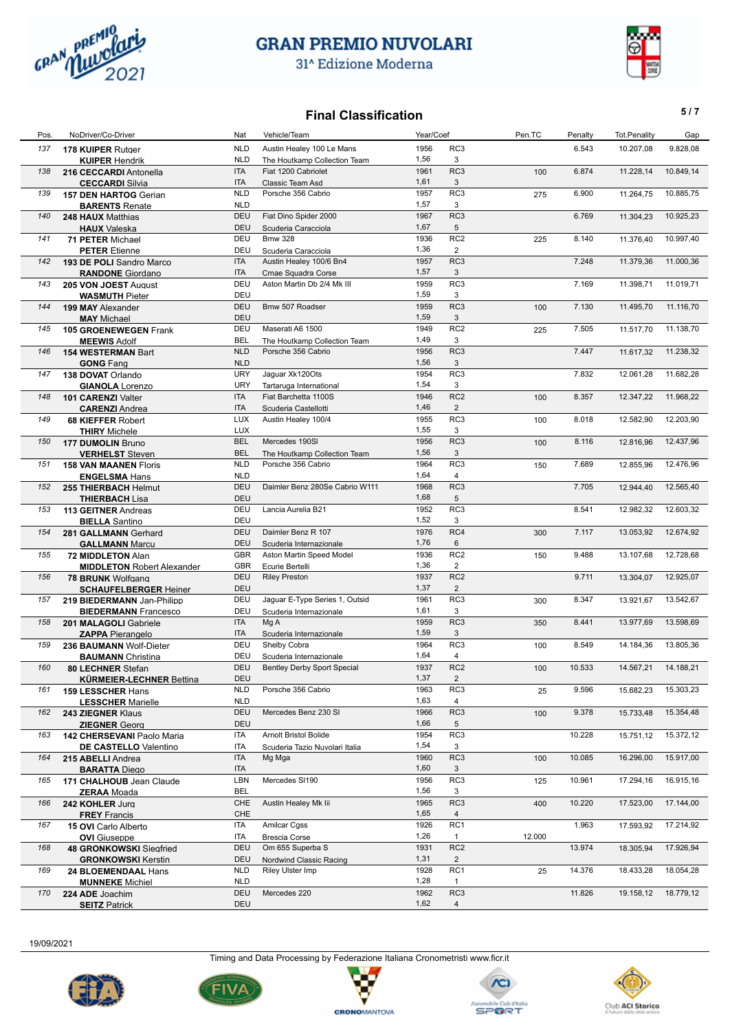

## **GRAN PREMIO NUVOLARI**

31<sup>^</sup> Edizione Moderna



6.543

#### **Final Classification 5/7**

Pos. NoDriver/Co-Driver Nat Vehicle/Team Year/Coef Pen.TC Penalty Tot.Penality Gap 137 **178 KUIPER** Rutger **10.207,08 10.207,08 12.82,08 NLD** Austin Healey 100 Le Mans 1956 RC3 6.543 **10.207,08** 9.828,08

1956 RC3 1,56

|     | <b>KUIPER Hendrik</b>             | <b>NLD</b> | The Houtkamp Collection Team       | 1,56 | 3               |     |        |           |           |
|-----|-----------------------------------|------------|------------------------------------|------|-----------------|-----|--------|-----------|-----------|
| 138 | 216 CECCARDI Antonella            | <b>ITA</b> | Fiat 1200 Cabriolet                | 1961 | RC <sub>3</sub> | 100 | 6.874  | 11.228,14 | 10.849,14 |
|     | <b>CECCARDI Silvia</b>            | <b>ITA</b> | Classic Team Asd                   | 1,61 | 3               |     |        |           |           |
| 139 | 157 DEN HARTOG Gerian             | <b>NLD</b> | Porsche 356 Cabrio                 | 1957 | RC3             | 275 | 6.900  | 11.264,75 | 10.885,75 |
|     | <b>BARENTS Renate</b>             | <b>NLD</b> |                                    | 1,57 | 3               |     |        |           |           |
| 140 | 248 HAUX Matthias                 | DEU        | Fiat Dino Spider 2000              | 1967 | RC <sub>3</sub> |     | 6.769  | 11.304,23 | 10.925,23 |
|     | <b>HAUX</b> Valeska               | DEU        | Scuderia Caracciola                | 1,67 | 5               |     |        |           |           |
| 141 | 71 PETER Michael                  | DEU        | <b>Bmw 328</b>                     | 1936 | RC <sub>2</sub> | 225 | 8.140  | 11.376,40 | 10.997,40 |
|     | <b>PETER Etienne</b>              | DEU        | Scuderia Caracciola                | 1,36 | $\overline{2}$  |     |        |           |           |
| 142 | 193 DE POLI Sandro Marco          | <b>ITA</b> | Austin Healey 100/6 Bn4            | 1957 | RC <sub>3</sub> |     | 7.248  | 11.379,36 | 11.000,36 |
|     | <b>RANDONE</b> Giordano           | <b>ITA</b> | Cmae Squadra Corse                 | 1,57 | 3               |     |        |           |           |
| 143 | 205 VON JOEST August              | DEU        | Aston Martin Db 2/4 Mk III         | 1959 | RC <sub>3</sub> |     | 7.169  | 11.398,71 | 11.019,71 |
|     | <b>WASMUTH Pieter</b>             | DEU        |                                    | 1,59 | 3               |     |        |           |           |
| 144 | 199 MAY Alexander                 | DEU        | Bmw 507 Roadser                    | 1959 | RC <sub>3</sub> | 100 | 7.130  | 11.495,70 | 11.116,70 |
|     |                                   | DEU        |                                    | 1,59 | 3               |     |        |           |           |
| 145 | <b>MAY Michael</b>                | DEU        | Maserati A6 1500                   | 1949 | RC <sub>2</sub> | 225 | 7.505  | 11.517,70 | 11.138,70 |
|     | 105 GROENEWEGEN Frank             | <b>BEL</b> |                                    | 1,49 | 3               |     |        |           |           |
|     | <b>MEEWIS Adolf</b>               |            | The Houtkamp Collection Team       |      | RC <sub>3</sub> |     |        |           |           |
| 146 | 154 WESTERMAN Bart                | <b>NLD</b> | Porsche 356 Cabrio                 | 1956 |                 |     | 7.447  | 11.617,32 | 11.238,32 |
|     | <b>GONG Fang</b>                  | <b>NLD</b> |                                    | 1,56 | 3               |     |        |           |           |
| 147 | 138 DOVAT Orlando                 | <b>URY</b> | Jaguar Xk120Ots                    | 1954 | RC <sub>3</sub> |     | 7.832  | 12.061,28 | 11.682,28 |
|     | <b>GIANOLA</b> Lorenzo            | <b>URY</b> | Tartaruga International            | 1,54 | 3               |     |        |           |           |
| 148 | 101 CARENZI Valter                | <b>ITA</b> | Fiat Barchetta 1100S               | 1946 | RC <sub>2</sub> | 100 | 8.357  | 12.347,22 | 11.968,22 |
|     | <b>CARENZI</b> Andrea             | <b>ITA</b> | Scuderia Castellotti               | 1,46 | $\overline{2}$  |     |        |           |           |
| 149 | <b>68 KIEFFER Robert</b>          | <b>LUX</b> | Austin Healey 100/4                | 1955 | RC <sub>3</sub> | 100 | 8.018  | 12.582,90 | 12.203,90 |
|     | <b>THIRY</b> Michele              | <b>LUX</b> |                                    | 1,55 | 3               |     |        |           |           |
| 150 | <b>177 DUMOLIN Bruno</b>          | <b>BEL</b> | Mercedes 190SI                     | 1956 | RC <sub>3</sub> | 100 | 8.116  | 12.816,96 | 12.437,96 |
|     | <b>VERHELST</b> Steven            | <b>BEL</b> | The Houtkamp Collection Team       | 1,56 | 3               |     |        |           |           |
| 151 | <b>158 VAN MAANEN Floris</b>      | <b>NLD</b> | Porsche 356 Cabrio                 | 1964 | RC <sub>3</sub> | 150 | 7.689  | 12.855,96 | 12.476,96 |
|     | <b>ENGELSMA Hans</b>              | <b>NLD</b> |                                    | 1,64 | $\overline{4}$  |     |        |           |           |
| 152 | 255 THIERBACH Helmut              | DEU        | Daimler Benz 280Se Cabrio W111     | 1968 | RC <sub>3</sub> |     | 7.705  | 12.944,40 | 12.565,40 |
|     | <b>THIERBACH Lisa</b>             | DEU        |                                    | 1,68 | 5               |     |        |           |           |
| 153 | 113 GEITNER Andreas               | DEU        | Lancia Aurelia B21                 | 1952 | RC <sub>3</sub> |     | 8.541  | 12.982,32 | 12.603,32 |
|     | <b>BIELLA</b> Santino             | DEU        |                                    | 1,52 | 3               |     |        |           |           |
| 154 | 281 GALLMANN Gerhard              | <b>DEU</b> | Daimler Benz R 107                 | 1976 | RC4             | 300 | 7.117  | 13.053,92 | 12.674,92 |
|     | <b>GALLMANN Marcu</b>             | DEU        | Scuderia Internazionale            | 1,76 | 6               |     |        |           |           |
| 155 | 72 MIDDLETON Alan                 | <b>GBR</b> | Aston Martin Speed Model           | 1936 | RC <sub>2</sub> | 150 | 9.488  | 13.107,68 | 12.728,68 |
|     | <b>MIDDLETON Robert Alexander</b> | <b>GBR</b> | Ecurie Bertelli                    | 1,36 | $\overline{2}$  |     |        |           |           |
| 156 | 78 BRUNK Wolfgang                 | DEU        | <b>Riley Preston</b>               | 1937 | RC <sub>2</sub> |     | 9.711  | 13.304,07 | 12.925,07 |
|     |                                   | DEU        |                                    | 1,37 | $\overline{2}$  |     |        |           |           |
| 157 | <b>SCHAUFELBERGER Heiner</b>      | DEU        | Jaguar E-Type Series 1, Outsid     | 1961 | RC3             | 300 | 8.347  | 13.921,67 | 13.542,67 |
|     | 219 BIEDERMANN Jan-Philipp        | DEU        |                                    | 1,61 | 3               |     |        |           |           |
|     | <b>BIEDERMANN</b> Francesco       |            | Scuderia Internazionale            | 1959 | RC <sub>3</sub> |     | 8.441  |           |           |
| 158 | 201 MALAGOLI Gabriele             | <b>ITA</b> | Mg A                               |      |                 | 350 |        | 13.977,69 | 13.598,69 |
|     | <b>ZAPPA Pierangelo</b>           | <b>ITA</b> | Scuderia Internazionale            | 1,59 | 3               |     |        |           |           |
| 159 | 236 BAUMANN Wolf-Dieter           | DEU        | Shelby Cobra                       | 1964 | RC3             | 100 | 8.549  | 14.184,36 | 13.805,36 |
|     | <b>BAUMANN</b> Christina          | DEU        | Scuderia Internazionale            | 1,64 | $\overline{4}$  |     |        |           |           |
| 160 | 80 LECHNER Stefan                 | <b>DEU</b> | <b>Bentley Derby Sport Special</b> | 1937 | RC <sub>2</sub> | 100 | 10.533 | 14.567,21 | 14.188,21 |
|     | <b>KÜRMEIER-LECHNER Bettina</b>   | DEU        |                                    | 1,37 | $\overline{2}$  |     |        |           |           |
| 161 | 159 LESSCHER Hans                 | <b>NLD</b> | Porsche 356 Cabrio                 | 1963 | RC3             | 25  | 9.596  | 15.682,23 | 15.303,23 |
|     | <b>LESSCHER Marielle</b>          | <b>NLD</b> |                                    | 1,63 | 4               |     |        |           |           |
| 162 | 243 ZIEGNER Klaus                 | <b>DEU</b> | Mercedes Benz 230 SI               | 1966 | RC3             | 100 | 9.378  | 15.733,48 | 15.354,48 |
|     | <b>ZIEGNER Georg</b>              | DEU        |                                    | 1,66 | 5               |     |        |           |           |
| 163 | 142 CHERSEVANI Paolo Maria        | ITA        | <b>Arnolt Bristol Bolide</b>       | 1954 | RC3             |     | 10.228 | 15.751,12 | 15.372,12 |
|     | DE CASTELLO Valentino             | ITA        | Scuderia Tazio Nuvolari Italia     | 1,54 | 3               |     |        |           |           |
| 164 | 215 ABELLI Andrea                 | <b>ITA</b> | Mg Mga                             | 1960 | RC <sub>3</sub> | 100 | 10.085 | 16.296,00 | 15.917,00 |
|     | <b>RADATTA Diego</b>              | <b>ITA</b> |                                    | 1.60 | $\mathcal{R}$   |     |        |           |           |



19/09/2021











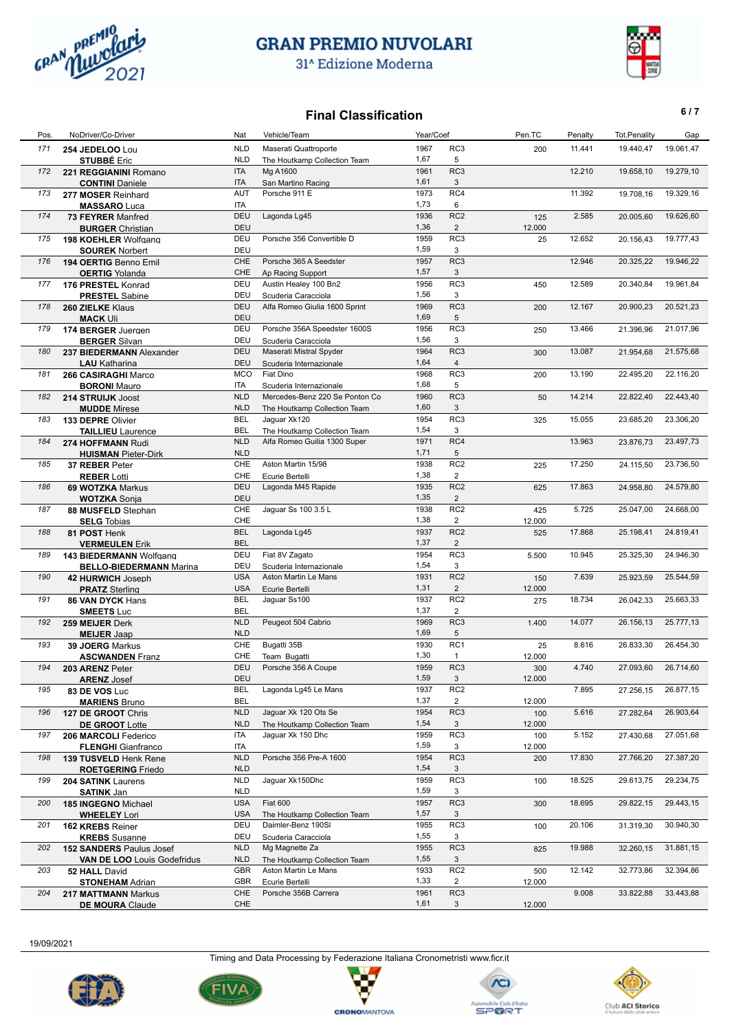

31^ Edizione Moderna



## **Final Classification** 6/7

| Pos. | NoDriver/Co-Driver                 | Nat        | Vehicle/Team                   | Year/Coef |                 | Pen.TC        | Penalty | <b>Tot.Penality</b> | Gap       |
|------|------------------------------------|------------|--------------------------------|-----------|-----------------|---------------|---------|---------------------|-----------|
| 171  | 254 JEDELOO Lou                    | <b>NLD</b> | Maserati Quattroporte          | 1967      | RC3             | 200           | 11.441  | 19.440,47           | 19.061,47 |
|      | <b>STUBBÉ Eric</b>                 | <b>NLD</b> | The Houtkamp Collection Team   | 1,67      | 5               |               |         |                     |           |
| 172  | 221 REGGIANINI Romano              | ITA        | Mg A1600                       | 1961      | RC3             |               | 12.210  | 19.658,10           | 19.279,10 |
|      | <b>CONTINI</b> Daniele             | <b>ITA</b> | San Martino Racing             | 1,61      | 3               |               |         |                     |           |
| 173  |                                    | AUT        | Porsche 911 E                  | 1973      | RC4             |               | 11.392  | 19.708,16           | 19.329,16 |
|      | 277 MOSER Reinhard                 | <b>ITA</b> |                                | 1,73      | 6               |               |         |                     |           |
|      | <b>MASSARO</b> Luca                |            |                                |           |                 |               |         |                     |           |
| 174  | 73 FEYRER Manfred                  | <b>DEU</b> | Lagonda Lg45                   | 1936      | RC <sub>2</sub> | 125           | 2.585   | 20.005,60           | 19.626,60 |
|      | <b>BURGER Christian</b>            | DEU        |                                | 1,36      | $\overline{2}$  | 12.000        |         |                     |           |
| 175  | 198 KOEHLER Wolfgang               | DEU        | Porsche 356 Convertible D      | 1959      | RC3             | 25            | 12.652  | 20.156,43           | 19.777,43 |
|      | <b>SOUREK Norbert</b>              | DEU        |                                | 1,59      | 3               |               |         |                     |           |
| 176  | 194 OERTIG Benno Emil              | CHE        | Porsche 365 A Seedster         | 1957      | RC3             |               | 12.946  | 20.325,22           | 19.946,22 |
|      | <b>OERTIG Yolanda</b>              | CHE        | Ap Racing Support              | 1,57      | 3               |               |         |                     |           |
| 177  | 176 PRESTEL Konrad                 | DEU        | Austin Healey 100 Bn2          | 1956      | RC3             | 450           | 12.589  | 20.340,84           | 19.961,84 |
|      | <b>PRESTEL</b> Sabine              | DEU        | Scuderia Caracciola            | 1,56      | 3               |               |         |                     |           |
| 178  | 260 ZIELKE Klaus                   | <b>DEU</b> | Alfa Romeo Giulia 1600 Sprint  | 1969      | RC <sub>3</sub> | 200           | 12.167  | 20.900,23           | 20.521,23 |
|      | <b>MACK Uli</b>                    | DEU        |                                | 1,69      | 5               |               |         |                     |           |
| 179  | 174 BERGER Juergen                 | DEU        | Porsche 356A Speedster 1600S   | 1956      | RC <sub>3</sub> | 250           | 13.466  | 21.396,96           | 21.017,96 |
|      | <b>BERGER Silvan</b>               | DEU        | Scuderia Caracciola            | 1,56      | 3               |               |         |                     |           |
| 180  |                                    | <b>DEU</b> | Maserati Mistral Spyder        | 1964      | RC3             | 300           | 13.087  | 21.954,68           | 21.575,68 |
|      | 237 BIEDERMANN Alexander           |            |                                | 1,64      |                 |               |         |                     |           |
|      | <b>LAU</b> Katharina               | <b>DEU</b> | Scuderia Internazionale        |           | 4               |               |         |                     |           |
| 181  | 266 CASIRAGHI Marco                | <b>MCO</b> | Fiat Dino                      | 1968      | RC3             | 200           | 13.190  | 22.495,20           | 22.116,20 |
|      | <b>BORONI</b> Mauro                | ITA        | Scuderia Internazionale        | 1,68      | 5               |               |         |                     |           |
| 182  | 214 STRUIJK Joost                  | <b>NLD</b> | Mercedes-Benz 220 Se Ponton Co | 1960      | RC <sub>3</sub> | 50            | 14.214  | 22.822,40           | 22.443,40 |
|      | <b>MUDDE</b> Mirese                | <b>NLD</b> | The Houtkamp Collection Team   | 1,60      | 3               |               |         |                     |           |
| 183  | 133 DEPRE Olivier                  | <b>BEL</b> | Jaguar Xk120                   | 1954      | RC <sub>3</sub> | 325           | 15.055  | 23.685,20           | 23.306,20 |
|      | <b>TAILLIEU</b> Laurence           | <b>BEL</b> | The Houtkamp Collection Team   | 1,54      | 3               |               |         |                     |           |
| 184  | 274 HOFFMANN Rudi                  | <b>NLD</b> | Alfa Romeo Guilia 1300 Super   | 1971      | RC4             |               | 13.963  | 23.876,73           | 23.497,73 |
|      | <b>HUISMAN Pieter-Dirk</b>         | <b>NLD</b> |                                | 1,71      | 5               |               |         |                     |           |
| 185  | 37 REBER Peter                     | CHE        | Aston Martin 15/98             | 1938      | RC <sub>2</sub> | 225           | 17.250  | 24.115,50           | 23.736,50 |
|      | <b>REBER Lotti</b>                 | CHE        | Ecurie Bertelli                | 1,38      | $\overline{2}$  |               |         |                     |           |
| 186  | 69 WOTZKA Markus                   | <b>DEU</b> | Lagonda M45 Rapide             | 1935      | RC <sub>2</sub> | 625           | 17.863  | 24.958,80           | 24.579,80 |
|      |                                    | <b>DEU</b> |                                | 1,35      | $\overline{2}$  |               |         |                     |           |
| 187  | <b>WOTZKA Sonia</b>                | CHE        | Jaguar Ss 100 3.5 L            | 1938      | RC <sub>2</sub> |               | 5.725   | 25.047,00           | 24.668,00 |
|      | 88 MUSFELD Stephan                 | CHE        |                                | 1,38      | $\overline{2}$  | 425           |         |                     |           |
|      | <b>SELG Tobias</b>                 |            |                                |           |                 | 12.000        |         |                     |           |
| 188  | 81 POST Henk                       | <b>BEL</b> | Lagonda Lg45                   | 1937      | RC <sub>2</sub> | 525           | 17.868  | 25.198,41           | 24.819,41 |
|      | <b>VERMEULEN Erik</b>              | <b>BEL</b> |                                | 1,37      | $\overline{2}$  |               |         |                     |           |
| 189  | 143 BIEDERMANN Wolfgang            | DEU        | Fiat 8V Zagato                 | 1954      | RC <sub>3</sub> | 5.500         | 10.945  | 25.325,30           | 24.946,30 |
|      | <b>BELLO-BIEDERMANN Marina</b>     | DEU        | Scuderia Internazionale        | 1,54      | 3               |               |         |                     |           |
| 190  | 42 HURWICH Joseph                  | <b>USA</b> | Aston Martin Le Mans           | 1931      | RC <sub>2</sub> | 150           | 7.639   | 25.923,59           | 25.544,59 |
|      | <b>PRATZ Sterling</b>              | <b>USA</b> | Ecurie Bertelli                | 1,31      | $\overline{2}$  | 12.000        |         |                     |           |
| 191  | 86 VAN DYCK Hans                   | <b>BEL</b> | Jaguar Ss100                   | 1937      | RC <sub>2</sub> | 275           | 18.734  | 26.042,33           | 25.663,33 |
|      | <b>SMEETS Luc</b>                  | <b>BEL</b> |                                | 1,37      | $\overline{2}$  |               |         |                     |           |
| 192  | 259 MEIJER Derk                    | <b>NLD</b> | Peugeot 504 Cabrio             | 1969      | RC <sub>3</sub> | 1.400         | 14.077  | 26.156,13           | 25.777,13 |
|      | <b>MEIJER Jaap</b>                 | <b>NLD</b> |                                | 1,69      | 5               |               |         |                     |           |
| 193  | 39 JOERG Markus                    | CHE        | Bugatti 35B                    | 1930      | RC1             | 25            | 8.616   | 26.833,30           | 26.454,30 |
|      | <b>ASCWANDEN Franz</b>             | CHE        | Team Bugatti                   | 1,30      | $\mathbf{1}$    | 12.000        |         |                     |           |
| 194  |                                    | <b>DEU</b> | Porsche 356 A Coupe            | 1959      | RC3             |               | 4.740   | 27.093,60           | 26.714,60 |
|      | 203 ARENZ Peter                    | <b>DEU</b> |                                | 1,59      | 3               | 300<br>12.000 |         |                     |           |
|      | <b>ARENZ Josef</b>                 | BEL        | Lagonda Lg45 Le Mans           | 1937      | RC <sub>2</sub> |               | 7.895   | 27.256,15           | 26.877,15 |
| 195  | 83 DE VOS Luc                      |            |                                |           |                 |               |         |                     |           |
|      | <b>MARIENS Bruno</b>               | <b>BEL</b> |                                | 1,37      | 2               | 12.000        |         |                     |           |
| 196  | 127 DE GROOT Chris                 | <b>NLD</b> | Jaguar Xk 120 Ots Se           | 1954      | RC3             | 100           | 5.616   | 27.282,64           | 26.903,64 |
|      | <b>DE GROOT Lotte</b>              | <b>NLD</b> | The Houtkamp Collection Team   | 1,54      | 3               | 12.000        |         |                     |           |
| 197  | 206 MARCOLI Federico               | ITA        | Jaguar Xk 150 Dhc              | 1959      | RC3             | 100           | 5.152   | 27.430,68           | 27.051,68 |
|      | <b>FLENGHI</b> Gianfranco          | ITA        |                                | 1,59      | 3               | 12.000        |         |                     |           |
| 198  | 139 TUSVELD Henk Rene              | <b>NLD</b> | Porsche 356 Pre-A 1600         | 1954      | RC3             | 200           | 17.830  | 27.766,20           | 27.387,20 |
|      | <b>ROETGERING Friedo</b>           | <b>NLD</b> |                                | 1,54      | 3               |               |         |                     |           |
| 199  | 204 SATINK Laurens                 | <b>NLD</b> | Jaquar Xk150Dhc                | 1959      | RC3             | 100           | 18.525  | 29.613,75           | 29.234,75 |
|      | <b>SATINK Jan</b>                  | <b>NLD</b> |                                | 1,59      | 3               |               |         |                     |           |
| 200  | 185 INGEGNO Michael                | <b>USA</b> | Fiat 600                       | 1957      | RC3             | 300           | 18.695  | 29.822,15           | 29.443,15 |
|      | <b>WHEELEY Lori</b>                | <b>USA</b> | The Houtkamp Collection Team   | 1,57      | 3               |               |         |                     |           |
| 201  | 162 KREBS Reiner                   | DEU        | Daimler-Benz 190SI             | 1955      | RC3             | 100           | 20.106  | 31.319,30           | 30.940,30 |
|      |                                    | DEU        |                                | 1,55      | 3               |               |         |                     |           |
|      | <b>KREBS</b> Susanne               |            | Scuderia Caracciola            |           |                 |               |         |                     |           |
| 202  | <b>152 SANDERS Paulus Josef</b>    | <b>NLD</b> | Mg Magnette Za                 | 1955      | RC <sub>3</sub> | 825           | 19.988  | 32.260,15           | 31.881,15 |
|      | <b>VAN DE LOO</b> Louis Godefridus | <b>NLD</b> | The Houtkamp Collection Team   | 1,55      | 3               |               |         |                     |           |
| 203  | 52 HALL David                      | GBR        | Aston Martin Le Mans           | 1933      | RC <sub>2</sub> | 500           | 12.142  | 32.773,86           | 32.394,86 |
|      | <b>STONEHAM Adrian</b>             | GBR        | Ecurie Bertelli                | 1,33      | 2               | 12.000        |         |                     |           |
| 204  | 217 MATTMANN Markus                | CHE        | Porsche 356B Carrera           | 1961      | RC3             |               | 9.008   | 33.822,88           | 33.443,88 |
|      | <b>DE MOURA Claude</b>             | CHE        |                                | 1,61      | 3               | 12.000        |         |                     |           |

19/09/2021



7